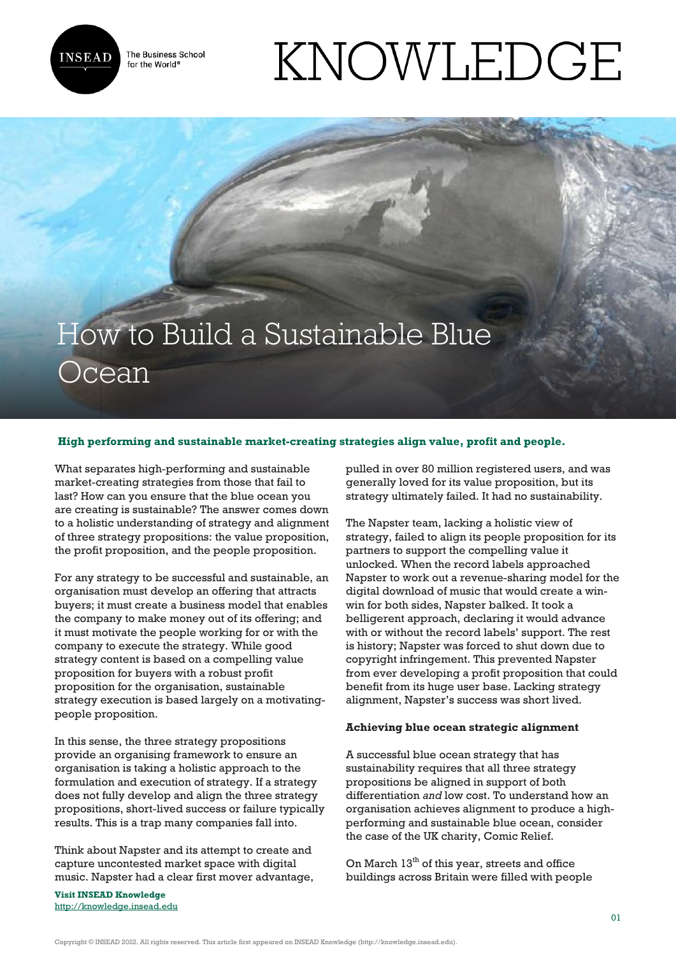

The Business School for the World<sup>®</sup>

# KNOWLEDGE

## How to Build a Sustainable Blue **Ocean**

### **High performing and sustainable market-creating strategies align value, profit and people.**

What separates high-performing and sustainable market-creating strategies from those that fail to last? How can you ensure that the blue ocean you are creating is sustainable? The answer comes down to a holistic understanding of strategy and alignment of three strategy propositions: the value proposition, the profit proposition, and the people proposition.

For any strategy to be successful and sustainable, an organisation must develop an offering that attracts buyers; it must create a business model that enables the company to make money out of its offering; and it must motivate the people working for or with the company to execute the strategy. While good strategy content is based on a compelling value proposition for buyers with a robust profit proposition for the organisation, sustainable strategy execution is based largely on a motivatingpeople proposition.

In this sense, the three strategy propositions provide an organising framework to ensure an organisation is taking a holistic approach to the formulation and execution of strategy. If a strategy does not fully develop and align the three strategy propositions, short-lived success or failure typically results. This is a trap many companies fall into.

Think about Napster and its attempt to create and capture uncontested market space with digital music. Napster had a clear first mover advantage,

**Visit INSEAD Knowledge** <http://knowledge.insead.edu> pulled in over 80 million registered users, and was generally loved for its value proposition, but its strategy ultimately failed. It had no sustainability.

The Napster team, lacking a holistic view of strategy, failed to align its people proposition for its partners to support the compelling value it unlocked. When the record labels approached Napster to work out a revenue-sharing model for the digital download of music that would create a winwin for both sides, Napster balked. It took a belligerent approach, declaring it would advance with or without the record labels' support. The rest is history; Napster was forced to shut down due to copyright infringement. This prevented Napster from ever developing a profit proposition that could benefit from its huge user base. Lacking strategy alignment, Napster's success was short lived.

#### **Achieving blue ocean strategic alignment**

A successful blue ocean strategy that has sustainability requires that all three strategy propositions be aligned in support of both differentiation *and* low cost. To understand how an organisation achieves alignment to produce a highperforming and sustainable blue ocean, consider the case of the UK charity, Comic Relief.

On March  $13<sup>th</sup>$  of this year, streets and office buildings across Britain were filled with people

Copyright © INSEAD 2022. All rights reserved. This article first appeared on INSEAD Knowledge (http://knowledge.insead.edu).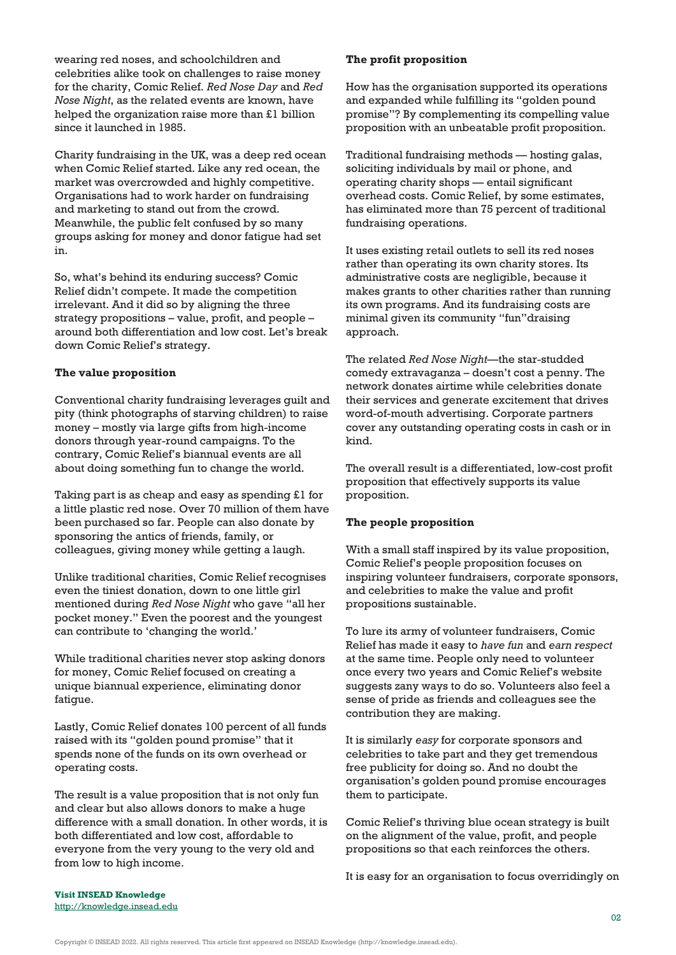wearing red noses, and schoolchildren and celebrities alike took on challenges to raise money for the charity, Comic Relief. *Red Nose Day* and *Red Nose Night*, as the related events are known, have helped the organization raise more than £1 billion since it launched in 1985.

Charity fundraising in the UK, was a deep red ocean when Comic Relief started. Like any red ocean, the market was overcrowded and highly competitive. Organisations had to work harder on fundraising and marketing to stand out from the crowd. Meanwhile, the public felt confused by so many groups asking for money and donor fatigue had set in.

So, what's behind its enduring success? Comic Relief didn't compete. It made the competition irrelevant. And it did so by aligning the three strategy propositions – value, profit, and people – around both differentiation and low cost. Let's break down Comic Relief's strategy.

#### **The value proposition**

Conventional charity fundraising leverages guilt and pity (think photographs of starving children) to raise money – mostly via large gifts from high-income donors through year-round campaigns. To the contrary, Comic Relief's biannual events are all about doing something fun to change the world.

Taking part is as cheap and easy as spending £1 for a little plastic red nose. Over 70 million of them have been purchased so far. People can also donate by sponsoring the antics of friends, family, or colleagues, giving money while getting a laugh.

Unlike traditional charities, Comic Relief recognises even the tiniest donation, down to one little girl mentioned during *Red Nose Night* who gave "all her pocket money." Even the poorest and the youngest can contribute to 'changing the world.'

While traditional charities never stop asking donors for money, Comic Relief focused on creating a unique biannual experience, eliminating donor fatigue.

Lastly, Comic Relief donates 100 percent of all funds raised with its "golden pound promise" that it spends none of the funds on its own overhead or operating costs.

The result is a value proposition that is not only fun and clear but also allows donors to make a huge difference with a small donation. In other words, it is both differentiated and low cost, affordable to everyone from the very young to the very old and from low to high income.

#### **The profit proposition**

How has the organisation supported its operations and expanded while fulfilling its "golden pound promise"? By complementing its compelling value proposition with an unbeatable profit proposition.

Traditional fundraising methods — hosting galas, soliciting individuals by mail or phone, and operating charity shops — entail significant overhead costs. Comic Relief, by some estimates, has eliminated more than 75 percent of traditional fundraising operations.

It uses existing retail outlets to sell its red noses rather than operating its own charity stores. Its administrative costs are negligible, because it makes grants to other charities rather than running its own programs. And its fundraising costs are minimal given its community "fun"draising approach.

The related *Red Nose Night*—the star-studded comedy extravaganza – doesn't cost a penny. The network donates airtime while celebrities donate their services and generate excitement that drives word-of-mouth advertising. Corporate partners cover any outstanding operating costs in cash or in kind.

The overall result is a differentiated, low-cost profit proposition that effectively supports its value proposition.

#### **The people proposition**

With a small staff inspired by its value proposition, Comic Relief's people proposition focuses on inspiring volunteer fundraisers, corporate sponsors, and celebrities to make the value and profit propositions sustainable.

To lure its army of volunteer fundraisers, Comic Relief has made it easy to *have fun* and *earn respect* at the same time. People only need to volunteer once every two years and Comic Relief's website suggests zany ways to do so. Volunteers also feel a sense of pride as friends and colleagues see the contribution they are making.

It is similarly *easy* for corporate sponsors and celebrities to take part and they get tremendous free publicity for doing so. And no doubt the organisation's golden pound promise encourages them to participate.

Comic Relief's thriving blue ocean strategy is built on the alignment of the value, profit, and people propositions so that each reinforces the others.

It is easy for an organisation to focus overridingly on

**Visit INSEAD Knowledge** <http://knowledge.insead.edu>

Copyright © INSEAD 2022. All rights reserved. This article first appeared on INSEAD Knowledge (http://knowledge.insead.edu).